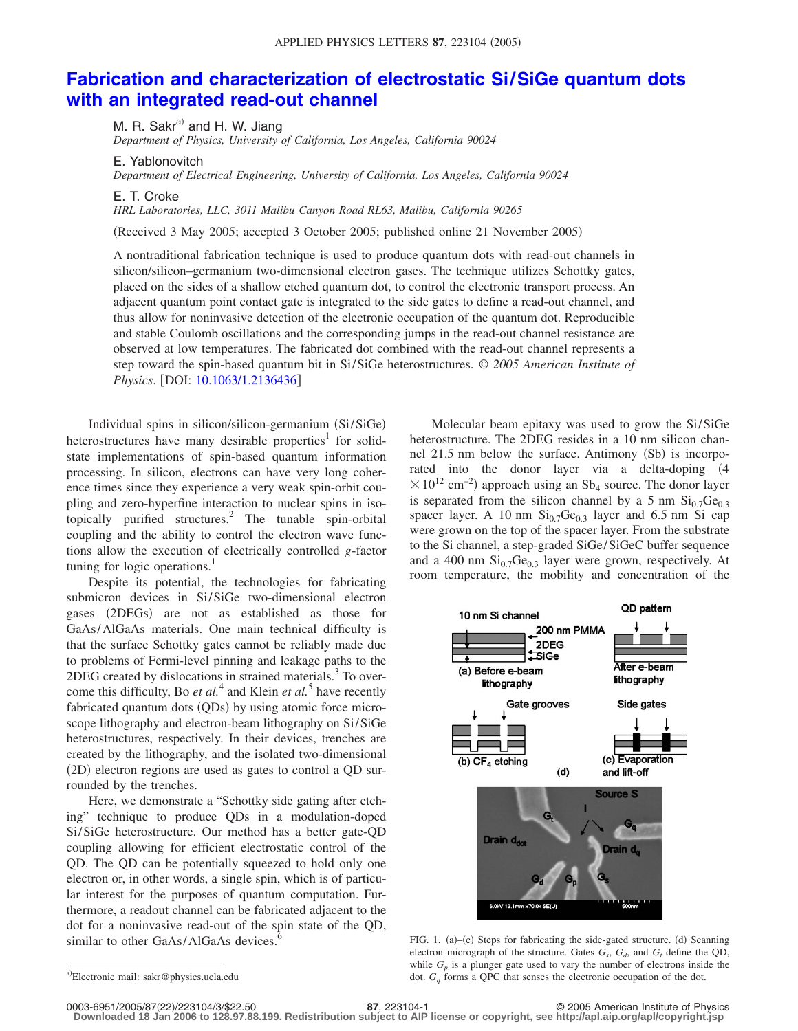## **[Fabrication and characterization of electrostatic Si/SiGe quantum dots](http://dx.doi.org/10.1063/1.2136436) [with an integrated read-out channel](http://dx.doi.org/10.1063/1.2136436)**

M. R. Sakr $^{a)}$  and H. W. Jiang *Department of Physics, University of California, Los Angeles, California 90024*

E. Yablonovitch

*Department of Electrical Engineering, University of California, Los Angeles, California 90024*

E. T. Croke

*HRL Laboratories, LLC, 3011 Malibu Canyon Road RL63, Malibu, California 90265*

Received 3 May 2005; accepted 3 October 2005; published online 21 November 2005-

A nontraditional fabrication technique is used to produce quantum dots with read-out channels in silicon/silicon–germanium two-dimensional electron gases. The technique utilizes Schottky gates, placed on the sides of a shallow etched quantum dot, to control the electronic transport process. An adjacent quantum point contact gate is integrated to the side gates to define a read-out channel, and thus allow for noninvasive detection of the electronic occupation of the quantum dot. Reproducible and stable Coulomb oscillations and the corresponding jumps in the read-out channel resistance are observed at low temperatures. The fabricated dot combined with the read-out channel represents a step toward the spin-based quantum bit in Si/SiGe heterostructures. © *2005 American Institute of Physics.* [DOI: [10.1063/1.2136436](http://dx.doi.org/10.1063/1.2136436)]

Individual spins in silicon/silicon-germanium (Si/SiGe) heterostructures have many desirable properties<sup>1</sup> for solidstate implementations of spin-based quantum information processing. In silicon, electrons can have very long coherence times since they experience a very weak spin-orbit coupling and zero-hyperfine interaction to nuclear spins in isotopically purified structures.<sup>2</sup> The tunable spin-orbital coupling and the ability to control the electron wave functions allow the execution of electrically controlled *g*-factor tuning for logic operations.<sup>1</sup>

Despite its potential, the technologies for fabricating submicron devices in Si/SiGe two-dimensional electron gases (2DEGs) are not as established as those for GaAs/AlGaAs materials. One main technical difficulty is that the surface Schottky gates cannot be reliably made due to problems of Fermi-level pinning and leakage paths to the  $2$ DEG created by dislocations in strained materials. $3$  To overcome this difficulty, Bo *et al.*<sup>4</sup> and Klein *et al.*<sup>5</sup> have recently fabricated quantum dots (QDs) by using atomic force microscope lithography and electron-beam lithography on Si/SiGe heterostructures, respectively. In their devices, trenches are created by the lithography, and the isolated two-dimensional (2D) electron regions are used as gates to control a QD surrounded by the trenches.

Here, we demonstrate a "Schottky side gating after etching" technique to produce QDs in a modulation-doped Si/SiGe heterostructure. Our method has a better gate-QD coupling allowing for efficient electrostatic control of the QD. The QD can be potentially squeezed to hold only one electron or, in other words, a single spin, which is of particular interest for the purposes of quantum computation. Furthermore, a readout channel can be fabricated adjacent to the dot for a noninvasive read-out of the spin state of the QD, similar to other GaAs/AlGaAs devices.

Molecular beam epitaxy was used to grow the Si/SiGe heterostructure. The 2DEG resides in a 10 nm silicon channel 21.5 nm below the surface. Antimony (Sb) is incorporated into the donor layer via a delta-doping (4  $\times 10^{12}$  cm<sup>-2</sup>) approach using an Sb<sub>4</sub> source. The donor layer is separated from the silicon channel by a 5 nm  $\mathrm{Si}_{0.7}\mathrm{Ge}_{0.3}$ spacer layer. A 10 nm  $Si<sub>0.7</sub>Ge<sub>0.3</sub>$  layer and 6.5 nm Si cap were grown on the top of the spacer layer. From the substrate to the Si channel, a step-graded SiGe/SiGeC buffer sequence and a 400 nm  $Si<sub>0.7</sub>Ge<sub>0.3</sub>$  layer were grown, respectively. At room temperature, the mobility and concentration of the



FIG. 1. (a)-(c) Steps for fabricating the side-gated structure. (d) Scanning electron micrograph of the structure. Gates  $G_s$ ,  $G_d$ , and  $G_t$  define the QD, while  $G_p$  is a plunger gate used to vary the number of electrons inside the dot.  $G<sub>a</sub>$  forms a QPC that senses the electronic occupation of the dot.

0003-6951/2005/87(22)/223104/3/\$22.50

a)Electronic mail: sakr@physics.ucla.edu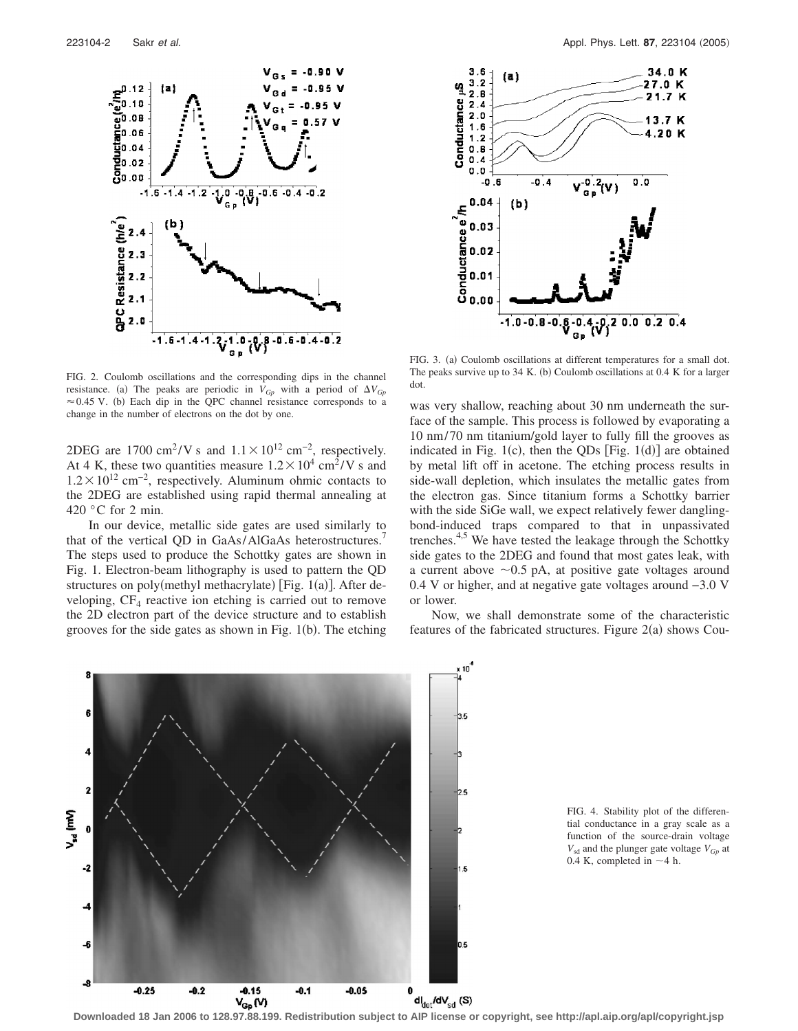

FIG. 2. Coulomb oscillations and the corresponding dips in the channel resistance. (a) The peaks are periodic in  $V_{G_p}$  with a period of  $\Delta V_{G_p}$  $\approx$  0.45 V. (b) Each dip in the QPC channel resistance corresponds to a change in the number of electrons on the dot by one.

2DEG are 1700 cm<sup>2</sup>/V s and  $1.1 \times 10^{12}$  cm<sup>-2</sup>, respectively. At 4 K, these two quantities measure  $1.2 \times 10^4$  cm<sup>2</sup>/V s and  $1.2 \times 10^{12}$  cm<sup>-2</sup>, respectively. Aluminum ohmic contacts to the 2DEG are established using rapid thermal annealing at 420 °C for 2 min.

In our device, metallic side gates are used similarly to that of the vertical QD in GaAs/AlGaAs heterostructures.<sup>4</sup> The steps used to produce the Schottky gates are shown in Fig. 1. Electron-beam lithography is used to pattern the QD structures on poly(methyl methacrylate) [Fig. 1(a)]. After developing,  $CF_4$  reactive ion etching is carried out to remove the 2D electron part of the device structure and to establish grooves for the side gates as shown in Fig.  $1(b)$ . The etching



FIG. 3. (a) Coulomb oscillations at different temperatures for a small dot. The peaks survive up to 34 K. (b) Coulomb oscillations at 0.4 K for a larger dot.

was very shallow, reaching about 30 nm underneath the surface of the sample. This process is followed by evaporating a 10 nm/70 nm titanium/gold layer to fully fill the grooves as indicated in Fig.  $1(c)$ , then the QDs [Fig.  $1(d)$ ] are obtained by metal lift off in acetone. The etching process results in side-wall depletion, which insulates the metallic gates from the electron gas. Since titanium forms a Schottky barrier with the side SiGe wall, we expect relatively fewer danglingbond-induced traps compared to that in unpassivated trenches. $4.5$  We have tested the leakage through the Schottky side gates to the 2DEG and found that most gates leak, with a current above  $\sim 0.5$  pA, at positive gate voltages around 0.4 V or higher, and at negative gate voltages around −3.0 V or lower.

Now, we shall demonstrate some of the characteristic features of the fabricated structures. Figure  $2(a)$  shows Cou-